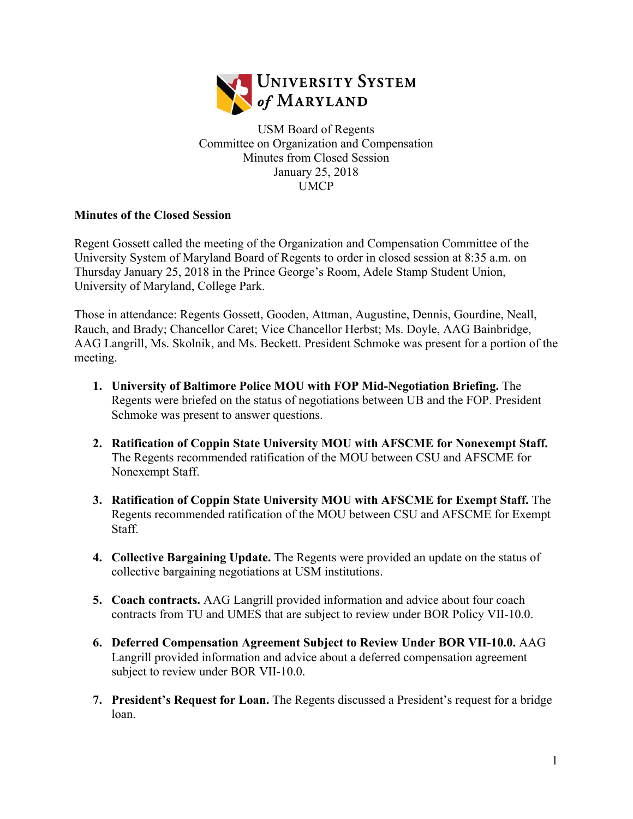

USM Board of Regents Committee on Organization and Compensation Minutes from Closed Session January 25, 2018 UMCP

## **Minutes of the Closed Session**

Regent Gossett called the meeting of the Organization and Compensation Committee of the University System of Maryland Board of Regents to order in closed session at 8:35 a.m. on Thursday January 25, 2018 in the Prince George's Room, Adele Stamp Student Union, University of Maryland, College Park.

Those in attendance: Regents Gossett, Gooden, Attman, Augustine, Dennis, Gourdine, Neall, Rauch, and Brady; Chancellor Caret; Vice Chancellor Herbst; Ms. Doyle, AAG Bainbridge, AAG Langrill, Ms. Skolnik, and Ms. Beckett. President Schmoke was present for a portion of the meeting.

- **1. University of Baltimore Police MOU with FOP Mid-Negotiation Briefing.** The Regents were briefed on the status of negotiations between UB and the FOP. President Schmoke was present to answer questions.
- **2. Ratification of Coppin State University MOU with AFSCME for Nonexempt Staff.**  The Regents recommended ratification of the MOU between CSU and AFSCME for Nonexempt Staff.
- **3. Ratification of Coppin State University MOU with AFSCME for Exempt Staff.** The Regents recommended ratification of the MOU between CSU and AFSCME for Exempt Staff.
- **4. Collective Bargaining Update.** The Regents were provided an update on the status of collective bargaining negotiations at USM institutions.
- **5. Coach contracts.** AAG Langrill provided information and advice about four coach contracts from TU and UMES that are subject to review under BOR Policy VII-10.0.
- **6. Deferred Compensation Agreement Subject to Review Under BOR VII-10.0.** AAG Langrill provided information and advice about a deferred compensation agreement subject to review under BOR VII-10.0.
- **7. President's Request for Loan.** The Regents discussed a President's request for a bridge loan.